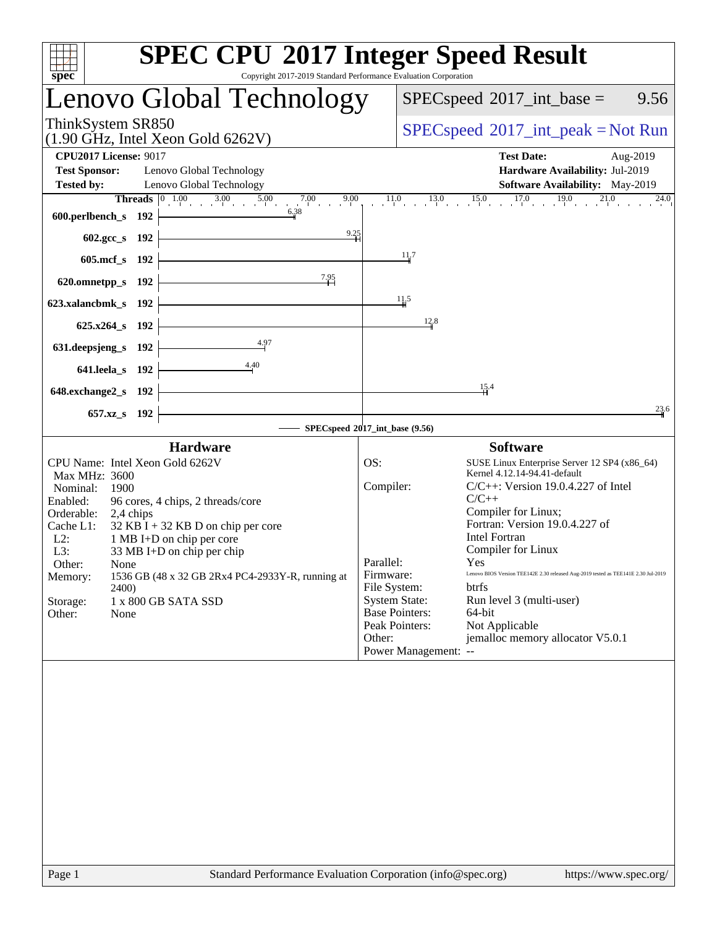| spec                                                                                                                                                                                                                                                                                                                                                                                                                                | <b>SPEC CPU®2017 Integer Speed Result</b><br>Copyright 2017-2019 Standard Performance Evaluation Corporation                                                                                                                                                                                                                                                                                                                                                                                                                                                                                                        |
|-------------------------------------------------------------------------------------------------------------------------------------------------------------------------------------------------------------------------------------------------------------------------------------------------------------------------------------------------------------------------------------------------------------------------------------|---------------------------------------------------------------------------------------------------------------------------------------------------------------------------------------------------------------------------------------------------------------------------------------------------------------------------------------------------------------------------------------------------------------------------------------------------------------------------------------------------------------------------------------------------------------------------------------------------------------------|
| Lenovo Global Technology                                                                                                                                                                                                                                                                                                                                                                                                            | $SPEC speed^{\circ}2017\_int\_base =$<br>9.56                                                                                                                                                                                                                                                                                                                                                                                                                                                                                                                                                                       |
| ThinkSystem SR850<br>$(1.90$ GHz, Intel Xeon Gold 6262V)                                                                                                                                                                                                                                                                                                                                                                            | $SPEC speed^{\circ}2017\_int\_peak = Not Run$                                                                                                                                                                                                                                                                                                                                                                                                                                                                                                                                                                       |
| <b>CPU2017 License: 9017</b><br><b>Test Sponsor:</b><br>Lenovo Global Technology<br><b>Tested by:</b><br>Lenovo Global Technology                                                                                                                                                                                                                                                                                                   | <b>Test Date:</b><br>Aug-2019<br>Hardware Availability: Jul-2019<br><b>Software Availability:</b> May-2019                                                                                                                                                                                                                                                                                                                                                                                                                                                                                                          |
| <b>Threads</b> $\begin{bmatrix} 0 & 1.00 & 3.00 & 5.00 & 7.00 & 9.00 \end{bmatrix}$<br>6.38<br>600.perlbench_s 192                                                                                                                                                                                                                                                                                                                  | $11.0$ 13.0 15.0 17.0 19.0 21.0 24.0                                                                                                                                                                                                                                                                                                                                                                                                                                                                                                                                                                                |
| 9.25<br><u> 1980 - Johann Barbara, martxa al</u><br>602.gcc_s 192<br>605.mcf_s 192                                                                                                                                                                                                                                                                                                                                                  | $\frac{11}{4}$                                                                                                                                                                                                                                                                                                                                                                                                                                                                                                                                                                                                      |
| 7.95<br>620.omnetpp_s $192$                                                                                                                                                                                                                                                                                                                                                                                                         |                                                                                                                                                                                                                                                                                                                                                                                                                                                                                                                                                                                                                     |
| 623.xalancbmk_s 192<br>$625.x264_s$ 192                                                                                                                                                                                                                                                                                                                                                                                             | $\frac{11.5}{4}$<br>12.8                                                                                                                                                                                                                                                                                                                                                                                                                                                                                                                                                                                            |
| 4.97<br>631.deepsjeng_s 192                                                                                                                                                                                                                                                                                                                                                                                                         |                                                                                                                                                                                                                                                                                                                                                                                                                                                                                                                                                                                                                     |
| 4.40<br>$641$ .leela_s 192<br><u> 1989 - Johann Barbara, martxa alemaniar a</u><br>648.exchange2_s 192                                                                                                                                                                                                                                                                                                                              | $\frac{15}{4}$ .4                                                                                                                                                                                                                                                                                                                                                                                                                                                                                                                                                                                                   |
| 657.xz_s 192                                                                                                                                                                                                                                                                                                                                                                                                                        | 23.6<br>SPECspeed®2017_int_base (9.56)                                                                                                                                                                                                                                                                                                                                                                                                                                                                                                                                                                              |
| <b>Hardware</b>                                                                                                                                                                                                                                                                                                                                                                                                                     | <b>Software</b>                                                                                                                                                                                                                                                                                                                                                                                                                                                                                                                                                                                                     |
| CPU Name: Intel Xeon Gold 6262V<br>Max MHz: 3600<br>Nominal:<br>1900<br>Enabled:<br>96 cores, 4 chips, 2 threads/core<br>Orderable: 2,4 chips<br>$32$ KB I + 32 KB D on chip per core<br>Cache L1:<br>$L2$ :<br>1 MB I+D on chip per core<br>33 MB I+D on chip per chip<br>L3:<br>Other:<br>None<br>1536 GB (48 x 32 GB 2Rx4 PC4-2933Y-R, running at<br>Memory:<br><b>2400</b><br>Storage:<br>1 x 800 GB SATA SSD<br>Other:<br>None | OS:<br>SUSE Linux Enterprise Server 12 SP4 (x86_64)<br>Kernel 4.12.14-94.41-default<br>Compiler:<br>$C/C++$ : Version 19.0.4.227 of Intel<br>$C/C++$<br>Compiler for Linux;<br>Fortran: Version 19.0.4.227 of<br><b>Intel Fortran</b><br>Compiler for Linux<br>Parallel:<br>Yes<br>Lenovo BIOS Version TEE142E 2.30 released Aug-2019 tested as TEE141E 2.30 Jul-2019<br>Firmware:<br>File System:<br><b>btrfs</b><br><b>System State:</b><br>Run level 3 (multi-user)<br><b>Base Pointers:</b><br>64-bit<br>Not Applicable<br>Peak Pointers:<br>jemalloc memory allocator V5.0.1<br>Other:<br>Power Management: -- |
|                                                                                                                                                                                                                                                                                                                                                                                                                                     |                                                                                                                                                                                                                                                                                                                                                                                                                                                                                                                                                                                                                     |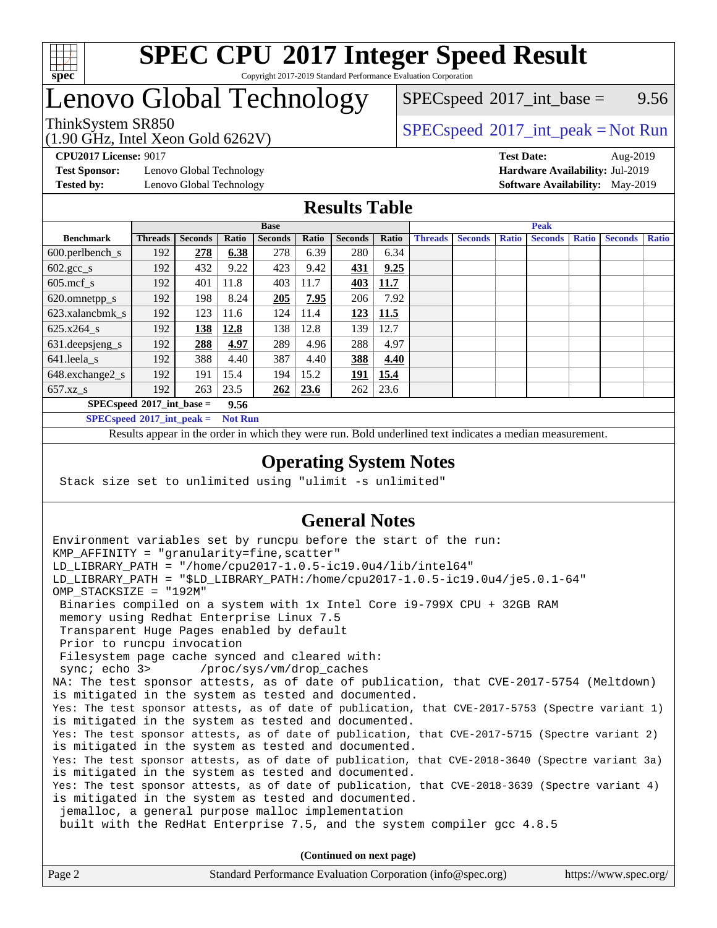

## Lenovo Global Technology

 $SPECspeed^{\circ}2017\_int\_base =$  $SPECspeed^{\circ}2017\_int\_base =$  9.56

### ThinkSystem SR850<br>  $SPEC speed^{\circ}2017\_int\_peak = Not Run$

**[Test Sponsor:](http://www.spec.org/auto/cpu2017/Docs/result-fields.html#TestSponsor)** Lenovo Global Technology **[Hardware Availability:](http://www.spec.org/auto/cpu2017/Docs/result-fields.html#HardwareAvailability)** Jul-2019

(1.90 GHz, Intel Xeon Gold 6262V)

**[CPU2017 License:](http://www.spec.org/auto/cpu2017/Docs/result-fields.html#CPU2017License)** 9017 **[Test Date:](http://www.spec.org/auto/cpu2017/Docs/result-fields.html#TestDate)** Aug-2019 **[Tested by:](http://www.spec.org/auto/cpu2017/Docs/result-fields.html#Testedby)** Lenovo Global Technology **[Software Availability:](http://www.spec.org/auto/cpu2017/Docs/result-fields.html#SoftwareAvailability)** May-2019

#### **[Results Table](http://www.spec.org/auto/cpu2017/Docs/result-fields.html#ResultsTable)**

|                                      | <b>Base</b>    |                |       |                |       | <b>Peak</b>    |       |                |                |              |                |              |                |              |
|--------------------------------------|----------------|----------------|-------|----------------|-------|----------------|-------|----------------|----------------|--------------|----------------|--------------|----------------|--------------|
| <b>Benchmark</b>                     | <b>Threads</b> | <b>Seconds</b> | Ratio | <b>Seconds</b> | Ratio | <b>Seconds</b> | Ratio | <b>Threads</b> | <b>Seconds</b> | <b>Ratio</b> | <b>Seconds</b> | <b>Ratio</b> | <b>Seconds</b> | <b>Ratio</b> |
| $600.$ perlbench $\mathsf{S}$        | 192            | 278            | 6.38  | 278            | 6.39  | 280            | 6.34  |                |                |              |                |              |                |              |
| $602 \text{.} \text{gcc}\text{_<}$ s | 192            | 432            | 9.22  | 423            | 9.42  | 431            | 9.25  |                |                |              |                |              |                |              |
| $605$ .mcf s                         | 192            | 401            | 11.8  | 403            | 11.7  | 403            | 11.7  |                |                |              |                |              |                |              |
| 620.omnetpp_s                        | 192            | 198            | 8.24  | 205            | 7.95  | 206            | 7.92  |                |                |              |                |              |                |              |
| 623.xalancbmk s                      | 192            | 123            | 11.6  | 124            | 11.4  | 123            | 11.5  |                |                |              |                |              |                |              |
| $625.x264_s$                         | 192            | 138            | 12.8  | 138            | 12.8  | 139            | 12.7  |                |                |              |                |              |                |              |
| 631.deepsjeng_s                      | 192            | 288            | 4.97  | 289            | 4.96  | 288            | 4.97  |                |                |              |                |              |                |              |
| $641$ .leela_s                       | 192            | 388            | 4.40  | 387            | 4.40  | 388            | 4.40  |                |                |              |                |              |                |              |
| 648.exchange2_s                      | 192            | 191            | 15.4  | 194            | 15.2  | 191            | 15.4  |                |                |              |                |              |                |              |
| $657.xz$ s                           | 192            | 263            | 23.5  | 262            | 23.6  | 262            | 23.6  |                |                |              |                |              |                |              |
| $SPECspeed*2017$ int base =          |                |                | 9.56  |                |       |                |       |                |                |              |                |              |                |              |

**[SPECspeed](http://www.spec.org/auto/cpu2017/Docs/result-fields.html#SPECspeed2017intpeak)[2017\\_int\\_peak =](http://www.spec.org/auto/cpu2017/Docs/result-fields.html#SPECspeed2017intpeak) Not Run**

Results appear in the [order in which they were run.](http://www.spec.org/auto/cpu2017/Docs/result-fields.html#RunOrder) Bold underlined text [indicates a median measurement.](http://www.spec.org/auto/cpu2017/Docs/result-fields.html#Median)

#### **[Operating System Notes](http://www.spec.org/auto/cpu2017/Docs/result-fields.html#OperatingSystemNotes)**

Stack size set to unlimited using "ulimit -s unlimited"

#### **[General Notes](http://www.spec.org/auto/cpu2017/Docs/result-fields.html#GeneralNotes)**

Environment variables set by runcpu before the start of the run: KMP AFFINITY = "granularity=fine, scatter" LD\_LIBRARY\_PATH = "/home/cpu2017-1.0.5-ic19.0u4/lib/intel64" LD\_LIBRARY\_PATH = "\$LD\_LIBRARY\_PATH:/home/cpu2017-1.0.5-ic19.0u4/je5.0.1-64" OMP\_STACKSIZE = "192M" Binaries compiled on a system with 1x Intel Core i9-799X CPU + 32GB RAM memory using Redhat Enterprise Linux 7.5 Transparent Huge Pages enabled by default Prior to runcpu invocation Filesystem page cache synced and cleared with: sync; echo 3> /proc/sys/vm/drop\_caches NA: The test sponsor attests, as of date of publication, that CVE-2017-5754 (Meltdown) is mitigated in the system as tested and documented. Yes: The test sponsor attests, as of date of publication, that CVE-2017-5753 (Spectre variant 1) is mitigated in the system as tested and documented. Yes: The test sponsor attests, as of date of publication, that CVE-2017-5715 (Spectre variant 2) is mitigated in the system as tested and documented. Yes: The test sponsor attests, as of date of publication, that CVE-2018-3640 (Spectre variant 3a) is mitigated in the system as tested and documented. Yes: The test sponsor attests, as of date of publication, that CVE-2018-3639 (Spectre variant 4) is mitigated in the system as tested and documented. jemalloc, a general purpose malloc implementation built with the RedHat Enterprise 7.5, and the system compiler gcc 4.8.5 **(Continued on next page)**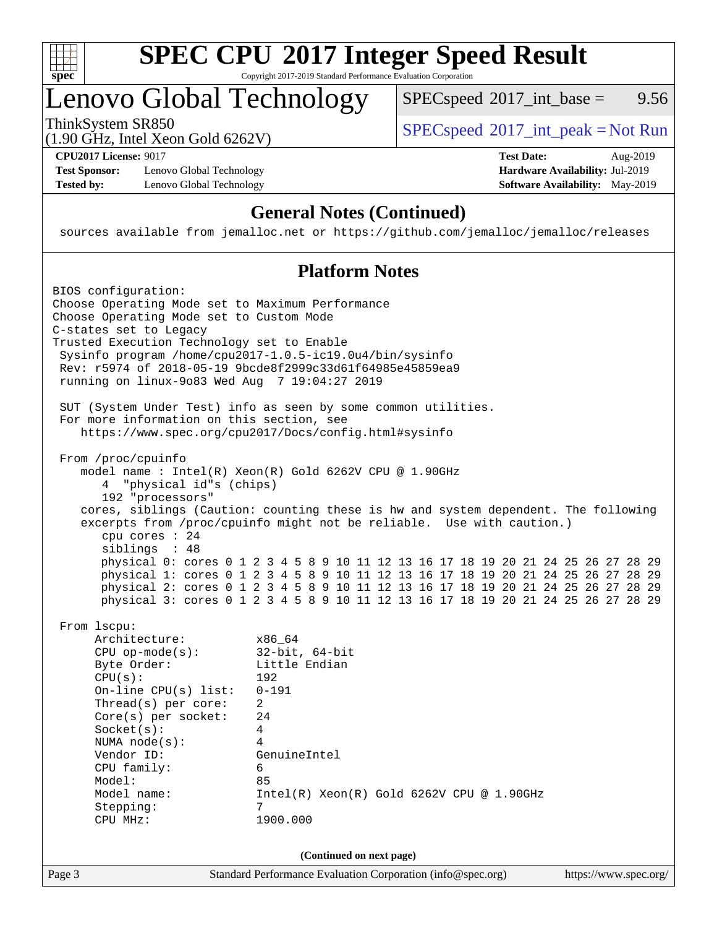

### Lenovo Global Technology

 $SPECspeed^{\circ}2017\_int\_base =$  $SPECspeed^{\circ}2017\_int\_base =$  9.56

(1.90 GHz, Intel Xeon Gold 6262V)

ThinkSystem SR850<br>  $SPEC speed^{\circ}2017\_int\_peak = Not Run$ 

**[Test Sponsor:](http://www.spec.org/auto/cpu2017/Docs/result-fields.html#TestSponsor)** Lenovo Global Technology **[Hardware Availability:](http://www.spec.org/auto/cpu2017/Docs/result-fields.html#HardwareAvailability)** Jul-2019 **[Tested by:](http://www.spec.org/auto/cpu2017/Docs/result-fields.html#Testedby)** Lenovo Global Technology **[Software Availability:](http://www.spec.org/auto/cpu2017/Docs/result-fields.html#SoftwareAvailability)** May-2019

**[CPU2017 License:](http://www.spec.org/auto/cpu2017/Docs/result-fields.html#CPU2017License)** 9017 **[Test Date:](http://www.spec.org/auto/cpu2017/Docs/result-fields.html#TestDate)** Aug-2019

#### **[General Notes \(Continued\)](http://www.spec.org/auto/cpu2017/Docs/result-fields.html#GeneralNotes)**

sources available from jemalloc.net or <https://github.com/jemalloc/jemalloc/releases>

#### **[Platform Notes](http://www.spec.org/auto/cpu2017/Docs/result-fields.html#PlatformNotes)**

Page 3 Standard Performance Evaluation Corporation [\(info@spec.org\)](mailto:info@spec.org) <https://www.spec.org/> BIOS configuration: Choose Operating Mode set to Maximum Performance Choose Operating Mode set to Custom Mode C-states set to Legacy Trusted Execution Technology set to Enable Sysinfo program /home/cpu2017-1.0.5-ic19.0u4/bin/sysinfo Rev: r5974 of 2018-05-19 9bcde8f2999c33d61f64985e45859ea9 running on linux-9o83 Wed Aug 7 19:04:27 2019 SUT (System Under Test) info as seen by some common utilities. For more information on this section, see <https://www.spec.org/cpu2017/Docs/config.html#sysinfo> From /proc/cpuinfo model name : Intel(R) Xeon(R) Gold 6262V CPU @ 1.90GHz 4 "physical id"s (chips) 192 "processors" cores, siblings (Caution: counting these is hw and system dependent. The following excerpts from /proc/cpuinfo might not be reliable. Use with caution.) cpu cores : 24 siblings : 48 physical 0: cores 0 1 2 3 4 5 8 9 10 11 12 13 16 17 18 19 20 21 24 25 26 27 28 29 physical 1: cores 0 1 2 3 4 5 8 9 10 11 12 13 16 17 18 19 20 21 24 25 26 27 28 29 physical 2: cores 0 1 2 3 4 5 8 9 10 11 12 13 16 17 18 19 20 21 24 25 26 27 28 29 physical 3: cores 0 1 2 3 4 5 8 9 10 11 12 13 16 17 18 19 20 21 24 25 26 27 28 29 From lscpu: Architecture: x86\_64 CPU op-mode(s): 32-bit, 64-bit Byte Order: Little Endian CPU(s): 192 On-line CPU(s) list: 0-191 Thread(s) per core: 2 Core(s) per socket: 24 Socket(s): 4 NUMA node(s): 4 Vendor ID: GenuineIntel CPU family: 6 Model: 85 Model name: Intel(R) Xeon(R) Gold 6262V CPU @ 1.90GHz Stepping: 7 CPU MHz: 1900.000 **(Continued on next page)**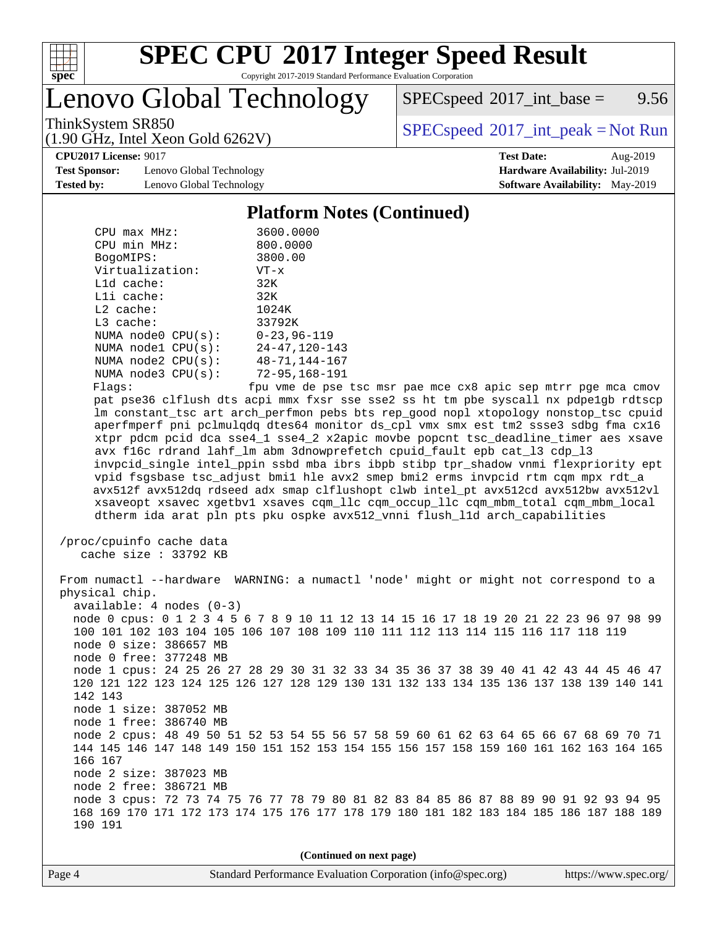

# **[SPEC CPU](http://www.spec.org/auto/cpu2017/Docs/result-fields.html#SPECCPU2017IntegerSpeedResult)[2017 Integer Speed Result](http://www.spec.org/auto/cpu2017/Docs/result-fields.html#SPECCPU2017IntegerSpeedResult)**

Copyright 2017-2019 Standard Performance Evaluation Corporation

Lenovo Global Technology

 $SPEC speed^{\circ}2017\_int\_base =$  9.56

(1.90 GHz, Intel Xeon Gold 6262V)

ThinkSystem SR850<br>  $\begin{array}{c}\n\text{SPEC speed} \textdegree 2017\_int\_peak = Not Run\n\end{array}$ 

**[CPU2017 License:](http://www.spec.org/auto/cpu2017/Docs/result-fields.html#CPU2017License)** 9017 **[Test Date:](http://www.spec.org/auto/cpu2017/Docs/result-fields.html#TestDate)** Aug-2019

**[Test Sponsor:](http://www.spec.org/auto/cpu2017/Docs/result-fields.html#TestSponsor)** Lenovo Global Technology **[Hardware Availability:](http://www.spec.org/auto/cpu2017/Docs/result-fields.html#HardwareAvailability)** Jul-2019 **[Tested by:](http://www.spec.org/auto/cpu2017/Docs/result-fields.html#Testedby)** Lenovo Global Technology **[Software Availability:](http://www.spec.org/auto/cpu2017/Docs/result-fields.html#SoftwareAvailability)** May-2019

#### **[Platform Notes \(Continued\)](http://www.spec.org/auto/cpu2017/Docs/result-fields.html#PlatformNotes)**

| $CPIJ$ max $MHz$ :      | 3600.0000            |
|-------------------------|----------------------|
| CPU min MHz:            | 800.0000             |
| BogoMIPS:               | 3800.00              |
| Virtualization:         | $VT - x$             |
| $L1d$ cache:            | 32K                  |
| $L1i$ cache:            | 32K                  |
| $L2$ cache:             | 1024K                |
| $L3$ cache:             | 33792K               |
| NUMA $node0$ $CPU(s)$ : | $0 - 23, 96 - 119$   |
| NUMA $node1$ $CPU(s)$ : | $24 - 47, 120 - 143$ |
| NUMA $node2$ $CPU(s):$  | $48 - 71, 144 - 167$ |
| NUMA $node3$ $CPU(s)$ : | $72 - 95, 168 - 191$ |
| Flaqs:                  | fpu vme de pse       |

se tsc msr pae mce cx8 apic sep mtrr pge mca cmov pat pse36 clflush dts acpi mmx fxsr sse sse2 ss ht tm pbe syscall nx pdpe1gb rdtscp lm constant\_tsc art arch\_perfmon pebs bts rep\_good nopl xtopology nonstop\_tsc cpuid aperfmperf pni pclmulqdq dtes64 monitor ds\_cpl vmx smx est tm2 ssse3 sdbg fma cx16 xtpr pdcm pcid dca sse4\_1 sse4\_2 x2apic movbe popcnt tsc\_deadline\_timer aes xsave avx f16c rdrand lahf\_lm abm 3dnowprefetch cpuid\_fault epb cat\_l3 cdp\_l3 invpcid\_single intel\_ppin ssbd mba ibrs ibpb stibp tpr\_shadow vnmi flexpriority ept vpid fsgsbase tsc\_adjust bmi1 hle avx2 smep bmi2 erms invpcid rtm cqm mpx rdt\_a avx512f avx512dq rdseed adx smap clflushopt clwb intel\_pt avx512cd avx512bw avx512vl xsaveopt xsavec xgetbv1 xsaves cqm\_llc cqm\_occup\_llc cqm\_mbm\_total cqm\_mbm\_local dtherm ida arat pln pts pku ospke avx512\_vnni flush\_l1d arch\_capabilities

```
 /proc/cpuinfo cache data
   cache size : 33792 KB
```
 From numactl --hardware WARNING: a numactl 'node' might or might not correspond to a physical chip. available: 4 nodes (0-3) node 0 cpus: 0 1 2 3 4 5 6 7 8 9 10 11 12 13 14 15 16 17 18 19 20 21 22 23 96 97 98 99 100 101 102 103 104 105 106 107 108 109 110 111 112 113 114 115 116 117 118 119 node 0 size: 386657 MB node 0 free: 377248 MB node 1 cpus: 24 25 26 27 28 29 30 31 32 33 34 35 36 37 38 39 40 41 42 43 44 45 46 47 120 121 122 123 124 125 126 127 128 129 130 131 132 133 134 135 136 137 138 139 140 141 142 143 node 1 size: 387052 MB node 1 free: 386740 MB node 2 cpus: 48 49 50 51 52 53 54 55 56 57 58 59 60 61 62 63 64 65 66 67 68 69 70 71 144 145 146 147 148 149 150 151 152 153 154 155 156 157 158 159 160 161 162 163 164 165 166 167 node 2 size: 387023 MB node 2 free: 386721 MB node 3 cpus: 72 73 74 75 76 77 78 79 80 81 82 83 84 85 86 87 88 89 90 91 92 93 94 95 168 169 170 171 172 173 174 175 176 177 178 179 180 181 182 183 184 185 186 187 188 189 190 191

**(Continued on next page)**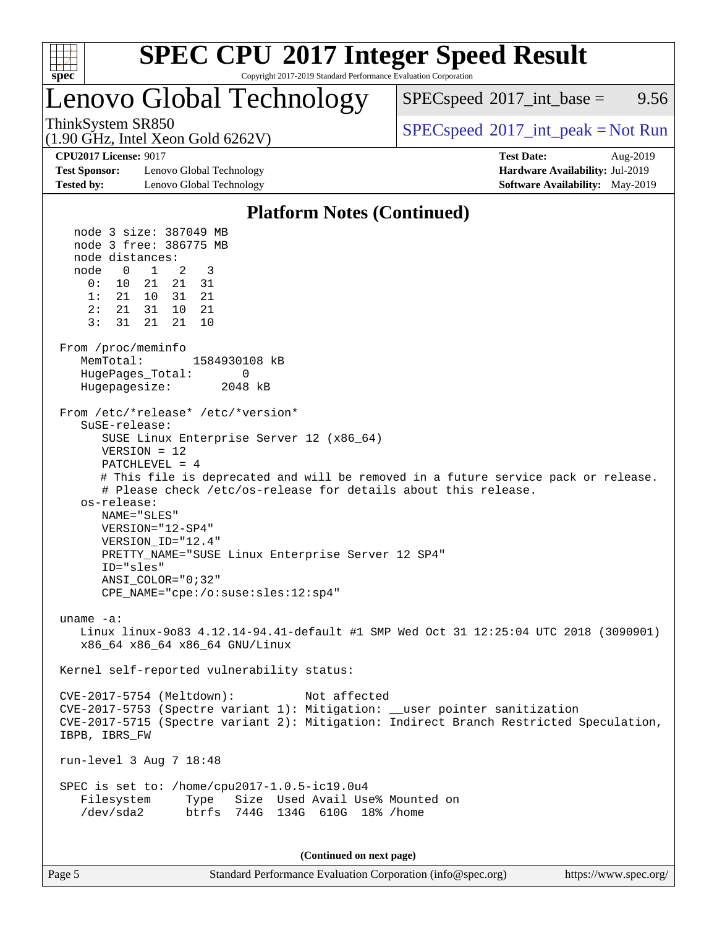

# **[SPEC CPU](http://www.spec.org/auto/cpu2017/Docs/result-fields.html#SPECCPU2017IntegerSpeedResult)[2017 Integer Speed Result](http://www.spec.org/auto/cpu2017/Docs/result-fields.html#SPECCPU2017IntegerSpeedResult)**

Copyright 2017-2019 Standard Performance Evaluation Corporation

### Lenovo Global Technology

 $SPECspeed^{\circ}2017\_int\_base =$  $SPECspeed^{\circ}2017\_int\_base =$  9.56

(1.90 GHz, Intel Xeon Gold 6262V)

ThinkSystem SR850<br>  $\begin{array}{c}\n\text{SPEC speed} \text{°2017\_int\_peak} = \text{Not Run} \\
\text{SPEC speed} \text{°2017\_int\_peak} = \text{Not Run} \\
\end{array}$ 

**[Test Sponsor:](http://www.spec.org/auto/cpu2017/Docs/result-fields.html#TestSponsor)** Lenovo Global Technology **[Hardware Availability:](http://www.spec.org/auto/cpu2017/Docs/result-fields.html#HardwareAvailability)** Jul-2019 **[Tested by:](http://www.spec.org/auto/cpu2017/Docs/result-fields.html#Testedby)** Lenovo Global Technology **[Software Availability:](http://www.spec.org/auto/cpu2017/Docs/result-fields.html#SoftwareAvailability)** May-2019

**[CPU2017 License:](http://www.spec.org/auto/cpu2017/Docs/result-fields.html#CPU2017License)** 9017 **[Test Date:](http://www.spec.org/auto/cpu2017/Docs/result-fields.html#TestDate)** Aug-2019

#### **[Platform Notes \(Continued\)](http://www.spec.org/auto/cpu2017/Docs/result-fields.html#PlatformNotes)**

 node 3 size: 387049 MB node 3 free: 386775 MB node distances: node 0 1 2 3 0: 10 21 21 31 1: 21 10 31 21 2: 21 31 10 21 3: 31 21 21 10 From /proc/meminfo MemTotal: 1584930108 kB HugePages Total: 0 Hugepagesize: 2048 kB From /etc/\*release\* /etc/\*version\* SuSE-release: SUSE Linux Enterprise Server 12 (x86\_64) VERSION = 12 PATCHLEVEL = 4 # This file is deprecated and will be removed in a future service pack or release. # Please check /etc/os-release for details about this release. os-release: NAME="SLES" VERSION="12-SP4" VERSION\_ID="12.4" PRETTY\_NAME="SUSE Linux Enterprise Server 12 SP4" ID="sles" ANSI\_COLOR="0;32" CPE\_NAME="cpe:/o:suse:sles:12:sp4" uname -a: Linux linux-9o83 4.12.14-94.41-default #1 SMP Wed Oct 31 12:25:04 UTC 2018 (3090901) x86\_64 x86\_64 x86\_64 GNU/Linux Kernel self-reported vulnerability status: CVE-2017-5754 (Meltdown): Not affected CVE-2017-5753 (Spectre variant 1): Mitigation: \_\_user pointer sanitization CVE-2017-5715 (Spectre variant 2): Mitigation: Indirect Branch Restricted Speculation, IBPB, IBRS\_FW run-level 3 Aug 7 18:48 SPEC is set to: /home/cpu2017-1.0.5-ic19.0u4 Filesystem Type Size Used Avail Use% Mounted on /dev/sda2 btrfs 744G 134G 610G 18% /home

**(Continued on next page)**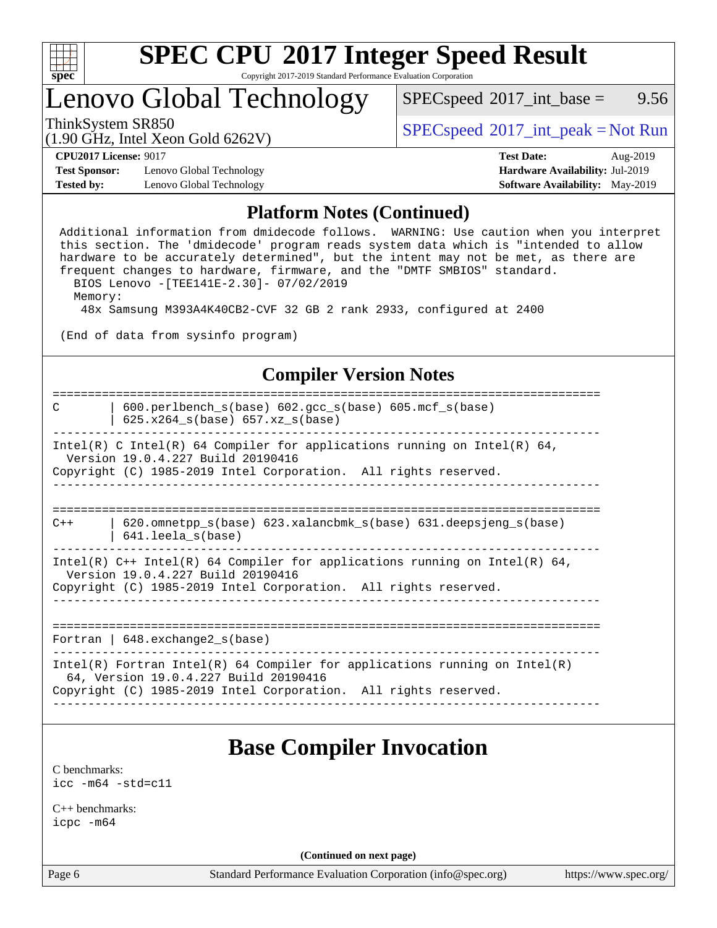

### Lenovo Global Technology

 $SPECspeed^{\circ}2017\_int\_base =$  $SPECspeed^{\circ}2017\_int\_base =$  9.56

(1.90 GHz, Intel Xeon Gold 6262V)

ThinkSystem SR850<br>  $\begin{array}{c}\n\text{SPEC speed} \text{°2017\_int\_peak} = \text{Not Run} \\
\text{SPEC speed} \text{°2017\_int\_peak} = \text{Not Run} \\
\end{array}$ 

**[Test Sponsor:](http://www.spec.org/auto/cpu2017/Docs/result-fields.html#TestSponsor)** Lenovo Global Technology **[Hardware Availability:](http://www.spec.org/auto/cpu2017/Docs/result-fields.html#HardwareAvailability)** Jul-2019 **[Tested by:](http://www.spec.org/auto/cpu2017/Docs/result-fields.html#Testedby)** Lenovo Global Technology **[Software Availability:](http://www.spec.org/auto/cpu2017/Docs/result-fields.html#SoftwareAvailability)** May-2019

**[CPU2017 License:](http://www.spec.org/auto/cpu2017/Docs/result-fields.html#CPU2017License)** 9017 **[Test Date:](http://www.spec.org/auto/cpu2017/Docs/result-fields.html#TestDate)** Aug-2019

#### **[Platform Notes \(Continued\)](http://www.spec.org/auto/cpu2017/Docs/result-fields.html#PlatformNotes)**

 Additional information from dmidecode follows. WARNING: Use caution when you interpret this section. The 'dmidecode' program reads system data which is "intended to allow hardware to be accurately determined", but the intent may not be met, as there are frequent changes to hardware, firmware, and the "DMTF SMBIOS" standard. BIOS Lenovo -[TEE141E-2.30]- 07/02/2019 Memory:

48x Samsung M393A4K40CB2-CVF 32 GB 2 rank 2933, configured at 2400

(End of data from sysinfo program)

#### **[Compiler Version Notes](http://www.spec.org/auto/cpu2017/Docs/result-fields.html#CompilerVersionNotes)**

============================================================================== C | 600.perlbench\_s(base) 602.gcc\_s(base) 605.mcf\_s(base) | 625.x264\_s(base) 657.xz\_s(base) ------------------------------------------------------------------------------ Intel(R) C Intel(R) 64 Compiler for applications running on Intel(R)  $64$ , Version 19.0.4.227 Build 20190416 Copyright (C) 1985-2019 Intel Corporation. All rights reserved. ------------------------------------------------------------------------------ ============================================================================== C++ | 620.omnetpp\_s(base) 623.xalancbmk\_s(base) 631.deepsjeng\_s(base) | 641.leela\_s(base) ------------------------------------------------------------------------------ Intel(R)  $C++$  Intel(R) 64 Compiler for applications running on Intel(R) 64, Version 19.0.4.227 Build 20190416 Copyright (C) 1985-2019 Intel Corporation. All rights reserved. ------------------------------------------------------------------------------ ============================================================================== Fortran | 648.exchange2\_s(base) ------------------------------------------------------------------------------ Intel(R) Fortran Intel(R) 64 Compiler for applications running on Intel(R) 64, Version 19.0.4.227 Build 20190416 Copyright (C) 1985-2019 Intel Corporation. All rights reserved. ------------------------------------------------------------------------------

### **[Base Compiler Invocation](http://www.spec.org/auto/cpu2017/Docs/result-fields.html#BaseCompilerInvocation)**

[C benchmarks](http://www.spec.org/auto/cpu2017/Docs/result-fields.html#Cbenchmarks): [icc -m64 -std=c11](http://www.spec.org/cpu2017/results/res2019q3/cpu2017-20190819-17040.flags.html#user_CCbase_intel_icc_64bit_c11_33ee0cdaae7deeeab2a9725423ba97205ce30f63b9926c2519791662299b76a0318f32ddfffdc46587804de3178b4f9328c46fa7c2b0cd779d7a61945c91cd35)

[C++ benchmarks:](http://www.spec.org/auto/cpu2017/Docs/result-fields.html#CXXbenchmarks) [icpc -m64](http://www.spec.org/cpu2017/results/res2019q3/cpu2017-20190819-17040.flags.html#user_CXXbase_intel_icpc_64bit_4ecb2543ae3f1412ef961e0650ca070fec7b7afdcd6ed48761b84423119d1bf6bdf5cad15b44d48e7256388bc77273b966e5eb805aefd121eb22e9299b2ec9d9)

**(Continued on next page)**

Page 6 Standard Performance Evaluation Corporation [\(info@spec.org\)](mailto:info@spec.org) <https://www.spec.org/>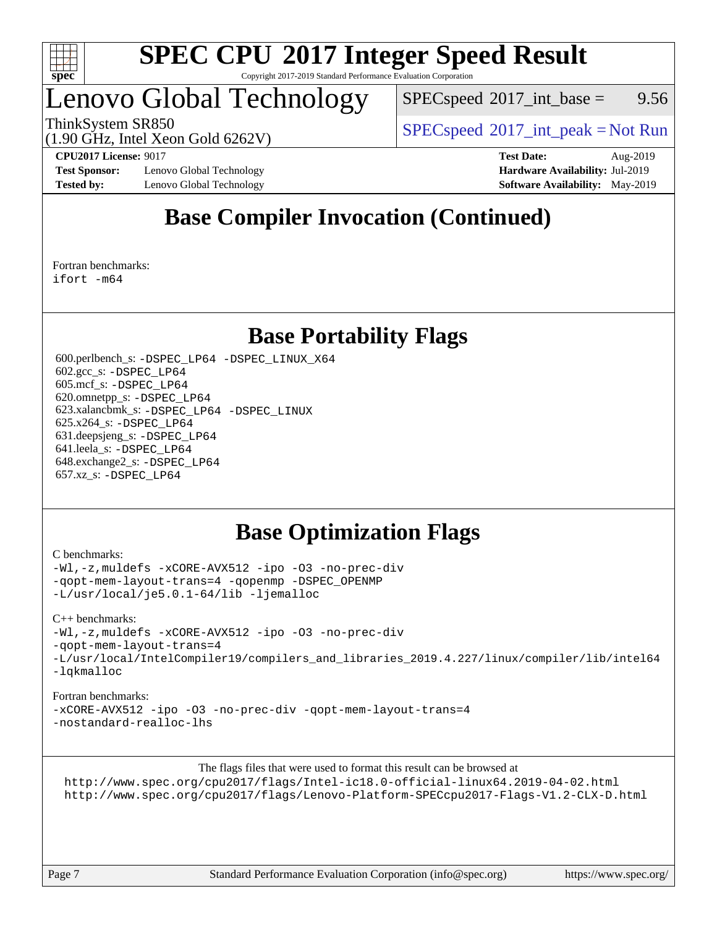

### Lenovo Global Technology

 $SPEC speed^{\circ}2017\_int\_base =$  9.56

ThinkSystem SR850<br>  $SPEC speed^{\circ}2017\_int\_peak = Not Run$ 

(1.90 GHz, Intel Xeon Gold 6262V)

**[Test Sponsor:](http://www.spec.org/auto/cpu2017/Docs/result-fields.html#TestSponsor)** Lenovo Global Technology **[Hardware Availability:](http://www.spec.org/auto/cpu2017/Docs/result-fields.html#HardwareAvailability)** Jul-2019 **[Tested by:](http://www.spec.org/auto/cpu2017/Docs/result-fields.html#Testedby)** Lenovo Global Technology **[Software Availability:](http://www.spec.org/auto/cpu2017/Docs/result-fields.html#SoftwareAvailability)** May-2019

**[CPU2017 License:](http://www.spec.org/auto/cpu2017/Docs/result-fields.html#CPU2017License)** 9017 **[Test Date:](http://www.spec.org/auto/cpu2017/Docs/result-fields.html#TestDate)** Aug-2019

### **[Base Compiler Invocation \(Continued\)](http://www.spec.org/auto/cpu2017/Docs/result-fields.html#BaseCompilerInvocation)**

[Fortran benchmarks](http://www.spec.org/auto/cpu2017/Docs/result-fields.html#Fortranbenchmarks): [ifort -m64](http://www.spec.org/cpu2017/results/res2019q3/cpu2017-20190819-17040.flags.html#user_FCbase_intel_ifort_64bit_24f2bb282fbaeffd6157abe4f878425411749daecae9a33200eee2bee2fe76f3b89351d69a8130dd5949958ce389cf37ff59a95e7a40d588e8d3a57e0c3fd751)

### **[Base Portability Flags](http://www.spec.org/auto/cpu2017/Docs/result-fields.html#BasePortabilityFlags)**

 600.perlbench\_s: [-DSPEC\\_LP64](http://www.spec.org/cpu2017/results/res2019q3/cpu2017-20190819-17040.flags.html#b600.perlbench_s_basePORTABILITY_DSPEC_LP64) [-DSPEC\\_LINUX\\_X64](http://www.spec.org/cpu2017/results/res2019q3/cpu2017-20190819-17040.flags.html#b600.perlbench_s_baseCPORTABILITY_DSPEC_LINUX_X64) 602.gcc\_s: [-DSPEC\\_LP64](http://www.spec.org/cpu2017/results/res2019q3/cpu2017-20190819-17040.flags.html#suite_basePORTABILITY602_gcc_s_DSPEC_LP64) 605.mcf\_s: [-DSPEC\\_LP64](http://www.spec.org/cpu2017/results/res2019q3/cpu2017-20190819-17040.flags.html#suite_basePORTABILITY605_mcf_s_DSPEC_LP64) 620.omnetpp\_s: [-DSPEC\\_LP64](http://www.spec.org/cpu2017/results/res2019q3/cpu2017-20190819-17040.flags.html#suite_basePORTABILITY620_omnetpp_s_DSPEC_LP64) 623.xalancbmk\_s: [-DSPEC\\_LP64](http://www.spec.org/cpu2017/results/res2019q3/cpu2017-20190819-17040.flags.html#suite_basePORTABILITY623_xalancbmk_s_DSPEC_LP64) [-DSPEC\\_LINUX](http://www.spec.org/cpu2017/results/res2019q3/cpu2017-20190819-17040.flags.html#b623.xalancbmk_s_baseCXXPORTABILITY_DSPEC_LINUX) 625.x264\_s: [-DSPEC\\_LP64](http://www.spec.org/cpu2017/results/res2019q3/cpu2017-20190819-17040.flags.html#suite_basePORTABILITY625_x264_s_DSPEC_LP64) 631.deepsjeng\_s: [-DSPEC\\_LP64](http://www.spec.org/cpu2017/results/res2019q3/cpu2017-20190819-17040.flags.html#suite_basePORTABILITY631_deepsjeng_s_DSPEC_LP64) 641.leela\_s: [-DSPEC\\_LP64](http://www.spec.org/cpu2017/results/res2019q3/cpu2017-20190819-17040.flags.html#suite_basePORTABILITY641_leela_s_DSPEC_LP64) 648.exchange2\_s: [-DSPEC\\_LP64](http://www.spec.org/cpu2017/results/res2019q3/cpu2017-20190819-17040.flags.html#suite_basePORTABILITY648_exchange2_s_DSPEC_LP64) 657.xz\_s: [-DSPEC\\_LP64](http://www.spec.org/cpu2017/results/res2019q3/cpu2017-20190819-17040.flags.html#suite_basePORTABILITY657_xz_s_DSPEC_LP64)

### **[Base Optimization Flags](http://www.spec.org/auto/cpu2017/Docs/result-fields.html#BaseOptimizationFlags)**

#### [C benchmarks](http://www.spec.org/auto/cpu2017/Docs/result-fields.html#Cbenchmarks):

[-Wl,-z,muldefs](http://www.spec.org/cpu2017/results/res2019q3/cpu2017-20190819-17040.flags.html#user_CCbase_link_force_multiple1_b4cbdb97b34bdee9ceefcfe54f4c8ea74255f0b02a4b23e853cdb0e18eb4525ac79b5a88067c842dd0ee6996c24547a27a4b99331201badda8798ef8a743f577) [-xCORE-AVX512](http://www.spec.org/cpu2017/results/res2019q3/cpu2017-20190819-17040.flags.html#user_CCbase_f-xCORE-AVX512) [-ipo](http://www.spec.org/cpu2017/results/res2019q3/cpu2017-20190819-17040.flags.html#user_CCbase_f-ipo) [-O3](http://www.spec.org/cpu2017/results/res2019q3/cpu2017-20190819-17040.flags.html#user_CCbase_f-O3) [-no-prec-div](http://www.spec.org/cpu2017/results/res2019q3/cpu2017-20190819-17040.flags.html#user_CCbase_f-no-prec-div) [-qopt-mem-layout-trans=4](http://www.spec.org/cpu2017/results/res2019q3/cpu2017-20190819-17040.flags.html#user_CCbase_f-qopt-mem-layout-trans_fa39e755916c150a61361b7846f310bcdf6f04e385ef281cadf3647acec3f0ae266d1a1d22d972a7087a248fd4e6ca390a3634700869573d231a252c784941a8) [-qopenmp](http://www.spec.org/cpu2017/results/res2019q3/cpu2017-20190819-17040.flags.html#user_CCbase_qopenmp_16be0c44f24f464004c6784a7acb94aca937f053568ce72f94b139a11c7c168634a55f6653758ddd83bcf7b8463e8028bb0b48b77bcddc6b78d5d95bb1df2967) [-DSPEC\\_OPENMP](http://www.spec.org/cpu2017/results/res2019q3/cpu2017-20190819-17040.flags.html#suite_CCbase_DSPEC_OPENMP) [-L/usr/local/je5.0.1-64/lib](http://www.spec.org/cpu2017/results/res2019q3/cpu2017-20190819-17040.flags.html#user_CCbase_jemalloc_link_path64_4b10a636b7bce113509b17f3bd0d6226c5fb2346b9178c2d0232c14f04ab830f976640479e5c33dc2bcbbdad86ecfb6634cbbd4418746f06f368b512fced5394) [-ljemalloc](http://www.spec.org/cpu2017/results/res2019q3/cpu2017-20190819-17040.flags.html#user_CCbase_jemalloc_link_lib_d1249b907c500fa1c0672f44f562e3d0f79738ae9e3c4a9c376d49f265a04b9c99b167ecedbf6711b3085be911c67ff61f150a17b3472be731631ba4d0471706)

[C++ benchmarks:](http://www.spec.org/auto/cpu2017/Docs/result-fields.html#CXXbenchmarks) [-Wl,-z,muldefs](http://www.spec.org/cpu2017/results/res2019q3/cpu2017-20190819-17040.flags.html#user_CXXbase_link_force_multiple1_b4cbdb97b34bdee9ceefcfe54f4c8ea74255f0b02a4b23e853cdb0e18eb4525ac79b5a88067c842dd0ee6996c24547a27a4b99331201badda8798ef8a743f577) [-xCORE-AVX512](http://www.spec.org/cpu2017/results/res2019q3/cpu2017-20190819-17040.flags.html#user_CXXbase_f-xCORE-AVX512) [-ipo](http://www.spec.org/cpu2017/results/res2019q3/cpu2017-20190819-17040.flags.html#user_CXXbase_f-ipo) [-O3](http://www.spec.org/cpu2017/results/res2019q3/cpu2017-20190819-17040.flags.html#user_CXXbase_f-O3) [-no-prec-div](http://www.spec.org/cpu2017/results/res2019q3/cpu2017-20190819-17040.flags.html#user_CXXbase_f-no-prec-div) [-qopt-mem-layout-trans=4](http://www.spec.org/cpu2017/results/res2019q3/cpu2017-20190819-17040.flags.html#user_CXXbase_f-qopt-mem-layout-trans_fa39e755916c150a61361b7846f310bcdf6f04e385ef281cadf3647acec3f0ae266d1a1d22d972a7087a248fd4e6ca390a3634700869573d231a252c784941a8) [-L/usr/local/IntelCompiler19/compilers\\_and\\_libraries\\_2019.4.227/linux/compiler/lib/intel64](http://www.spec.org/cpu2017/results/res2019q3/cpu2017-20190819-17040.flags.html#user_CXXbase_qkmalloc_link_0ffe0cb02c68ef1b443a077c7888c10c67ca0d1dd7138472156f06a085bbad385f78d49618ad55dca9db3b1608e84afc2f69b4003b1d1ca498a9fc1462ccefda) [-lqkmalloc](http://www.spec.org/cpu2017/results/res2019q3/cpu2017-20190819-17040.flags.html#user_CXXbase_qkmalloc_link_lib_79a818439969f771c6bc311cfd333c00fc099dad35c030f5aab9dda831713d2015205805422f83de8875488a2991c0a156aaa600e1f9138f8fc37004abc96dc5)

[Fortran benchmarks:](http://www.spec.org/auto/cpu2017/Docs/result-fields.html#Fortranbenchmarks) [-xCORE-AVX512](http://www.spec.org/cpu2017/results/res2019q3/cpu2017-20190819-17040.flags.html#user_FCbase_f-xCORE-AVX512) [-ipo](http://www.spec.org/cpu2017/results/res2019q3/cpu2017-20190819-17040.flags.html#user_FCbase_f-ipo) [-O3](http://www.spec.org/cpu2017/results/res2019q3/cpu2017-20190819-17040.flags.html#user_FCbase_f-O3) [-no-prec-div](http://www.spec.org/cpu2017/results/res2019q3/cpu2017-20190819-17040.flags.html#user_FCbase_f-no-prec-div) [-qopt-mem-layout-trans=4](http://www.spec.org/cpu2017/results/res2019q3/cpu2017-20190819-17040.flags.html#user_FCbase_f-qopt-mem-layout-trans_fa39e755916c150a61361b7846f310bcdf6f04e385ef281cadf3647acec3f0ae266d1a1d22d972a7087a248fd4e6ca390a3634700869573d231a252c784941a8) [-nostandard-realloc-lhs](http://www.spec.org/cpu2017/results/res2019q3/cpu2017-20190819-17040.flags.html#user_FCbase_f_2003_std_realloc_82b4557e90729c0f113870c07e44d33d6f5a304b4f63d4c15d2d0f1fab99f5daaed73bdb9275d9ae411527f28b936061aa8b9c8f2d63842963b95c9dd6426b8a)

[The flags files that were used to format this result can be browsed at](tmsearch) <http://www.spec.org/cpu2017/flags/Intel-ic18.0-official-linux64.2019-04-02.html> <http://www.spec.org/cpu2017/flags/Lenovo-Platform-SPECcpu2017-Flags-V1.2-CLX-D.html>